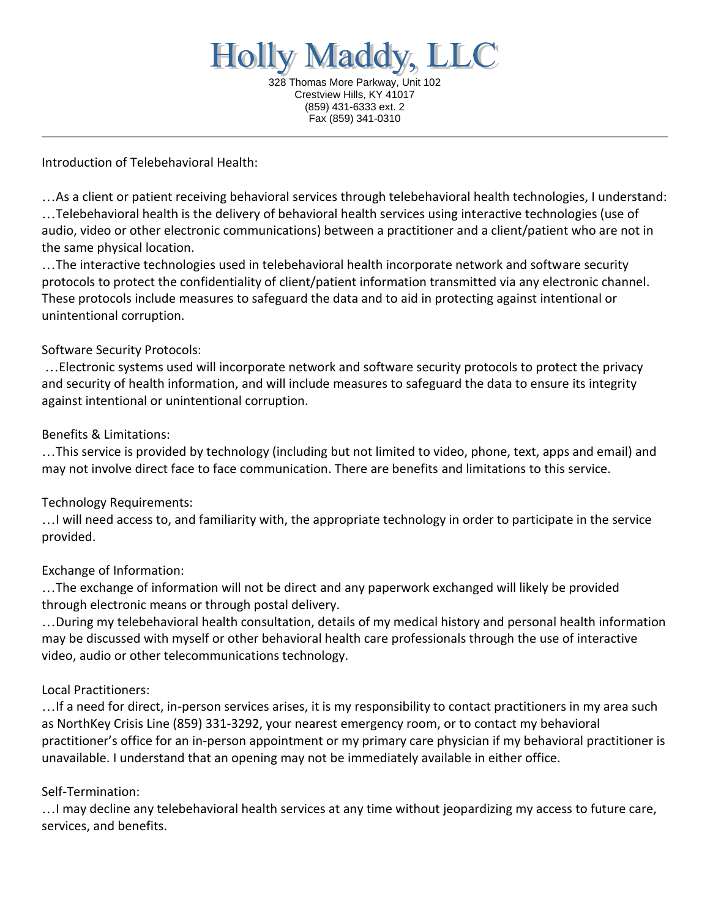**Holly Maddy,** LC 328 Thomas More Parkway, Unit 102 Crestview Hills, KY 41017 (859) 431-6333 ext. 2 Fax (859) 341-0310

Introduction of Telebehavioral Health:

…As a client or patient receiving behavioral services through telebehavioral health technologies, I understand: …Telebehavioral health is the delivery of behavioral health services using interactive technologies (use of audio, video or other electronic communications) between a practitioner and a client/patient who are not in the same physical location.

…The interactive technologies used in telebehavioral health incorporate network and software security protocols to protect the confidentiality of client/patient information transmitted via any electronic channel. These protocols include measures to safeguard the data and to aid in protecting against intentional or unintentional corruption.

#### Software Security Protocols:

…Electronic systems used will incorporate network and software security protocols to protect the privacy and security of health information, and will include measures to safeguard the data to ensure its integrity against intentional or unintentional corruption.

#### Benefits & Limitations:

…This service is provided by technology (including but not limited to video, phone, text, apps and email) and may not involve direct face to face communication. There are benefits and limitations to this service.

#### Technology Requirements:

…I will need access to, and familiarity with, the appropriate technology in order to participate in the service provided.

#### Exchange of Information:

…The exchange of information will not be direct and any paperwork exchanged will likely be provided through electronic means or through postal delivery.

…During my telebehavioral health consultation, details of my medical history and personal health information may be discussed with myself or other behavioral health care professionals through the use of interactive video, audio or other telecommunications technology.

#### Local Practitioners:

…If a need for direct, in-person services arises, it is my responsibility to contact practitioners in my area such as NorthKey Crisis Line (859) 331-3292, your nearest emergency room, or to contact my behavioral practitioner's office for an in-person appointment or my primary care physician if my behavioral practitioner is unavailable. I understand that an opening may not be immediately available in either office.

#### Self-Termination:

…I may decline any telebehavioral health services at any time without jeopardizing my access to future care, services, and benefits.